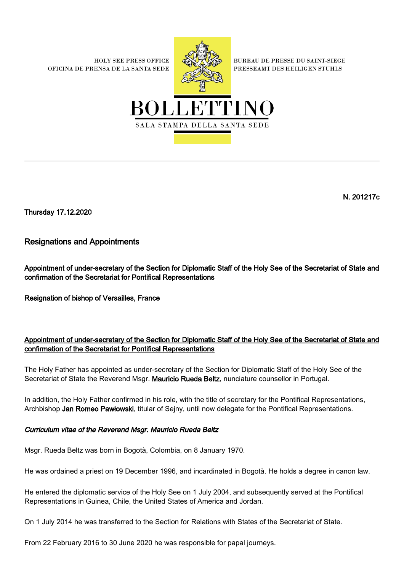**HOLY SEE PRESS OFFICE** OFICINA DE PRENSA DE LA SANTA SEDE



**BUREAU DE PRESSE DU SAINT-SIEGE** PRESSEAMT DES HEILIGEN STUHLS



N. 201217c

Thursday 17.12.2020

## Resignations and Appointments

Appointment of under-secretary of the Section for Diplomatic Staff of the Holy See of the Secretariat of State and confirmation of the Secretariat for Pontifical Representations

Resignation of bishop of Versailles, France

## Appointment of under-secretary of the Section for Diplomatic Staff of the Holy See of the Secretariat of State and confirmation of the Secretariat for Pontifical Representations

The Holy Father has appointed as under-secretary of the Section for Diplomatic Staff of the Holy See of the Secretariat of State the Reverend Msgr. Mauricio Rueda Beltz, nunciature counsellor in Portugal.

In addition, the Holy Father confirmed in his role, with the title of secretary for the Pontifical Representations, Archbishop Jan Romeo Pawłowski, titular of Sejny, until now delegate for the Pontifical Representations.

## Curriculum vitae of the Reverend Msgr. Mauricio Rueda Beltz

Msgr. Rueda Beltz was born in Bogotà, Colombia, on 8 January 1970.

He was ordained a priest on 19 December 1996, and incardinated in Bogotà. He holds a degree in canon law.

He entered the diplomatic service of the Holy See on 1 July 2004, and subsequently served at the Pontifical Representations in Guinea, Chile, the United States of America and Jordan.

On 1 July 2014 he was transferred to the Section for Relations with States of the Secretariat of State.

From 22 February 2016 to 30 June 2020 he was responsible for papal journeys.